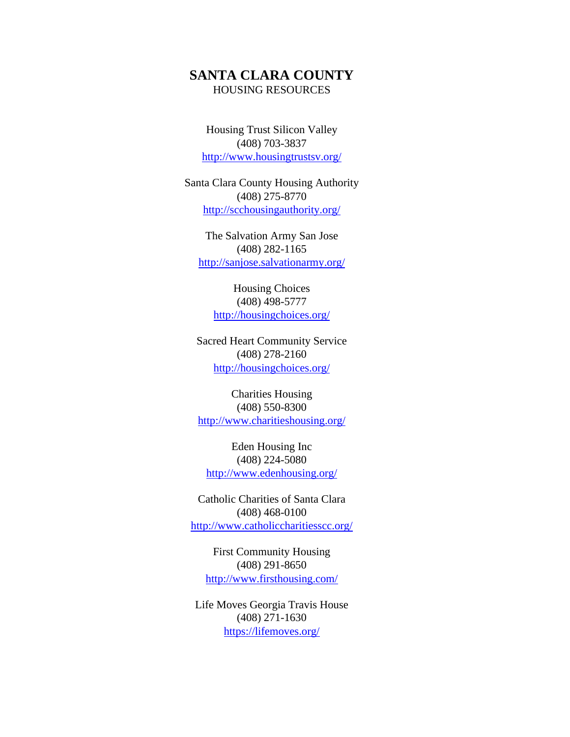## **SANTA CLARA COUNTY** HOUSING RESOURCES

Housing Trust Silicon Valley (408) 703-3837 <http://www.housingtrustsv.org/>

Santa Clara County Housing Authority (408) 275-8770 <http://scchousingauthority.org/>

The Salvation Army San Jose (408) 282-1165 <http://sanjose.salvationarmy.org/>

Housing Choices (408) 498-5777 <http://housingchoices.org/>

Sacred Heart Community Service (408) 278-2160 <http://housingchoices.org/>

Charities Housing (408) 550-8300 <http://www.charitieshousing.org/>

Eden Housing Inc (408) 224-5080 <http://www.edenhousing.org/>

Catholic Charities of Santa Clara (408) 468-0100 <http://www.catholiccharitiesscc.org/>

First Community Housing (408) 291-8650 <http://www.firsthousing.com/>

Life Moves Georgia Travis House (408) 271-1630 <https://lifemoves.org/>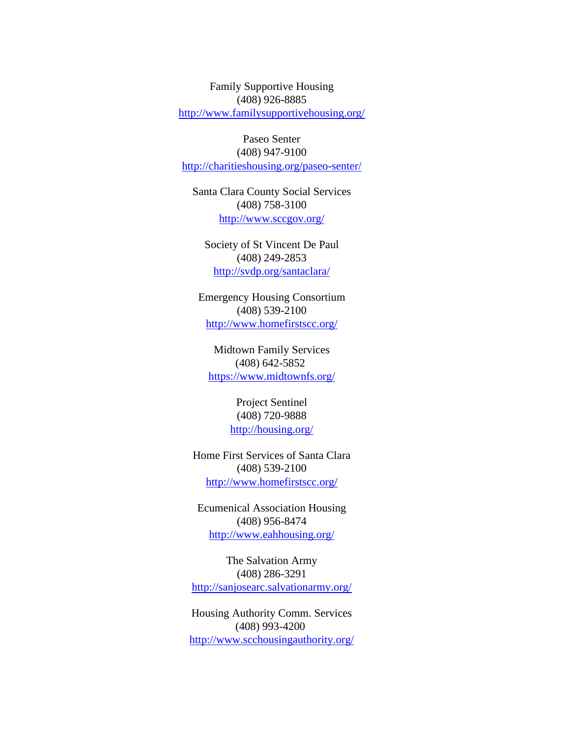Family Supportive Housing (408) 926-8885 <http://www.familysupportivehousing.org/>

Paseo Senter (408) 947-9100 <http://charitieshousing.org/paseo-senter/>

Santa Clara County Social Services (408) 758-3100 <http://www.sccgov.org/>

Society of St Vincent De Paul (408) 249-2853 <http://svdp.org/santaclara/>

Emergency Housing Consortium (408) 539-2100 <http://www.homefirstscc.org/>

Midtown Family Services (408) 642-5852 <https://www.midtownfs.org/>

> Project Sentinel (408) 720-9888 <http://housing.org/>

Home First Services of Santa Clara (408) 539-2100 <http://www.homefirstscc.org/>

Ecumenical Association Housing (408) 956-8474 <http://www.eahhousing.org/>

The Salvation Army (408) 286-3291 <http://sanjosearc.salvationarmy.org/>

Housing Authority Comm. Services (408) 993-4200 <http://www.scchousingauthority.org/>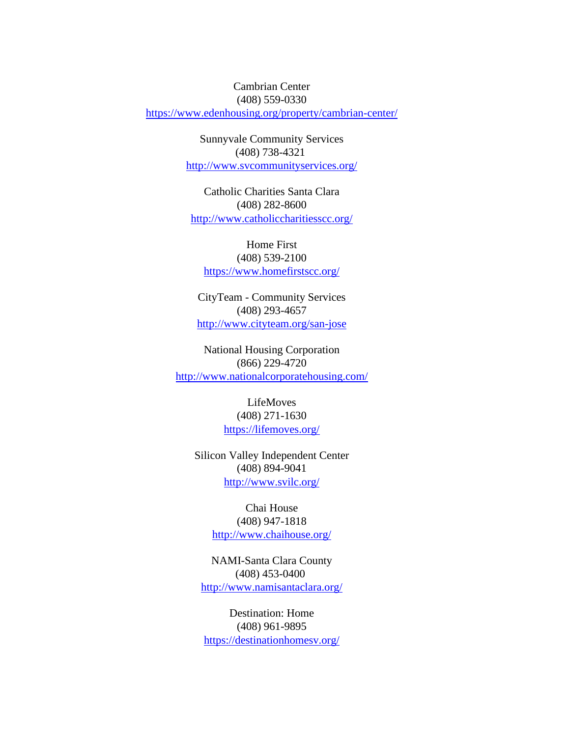## Cambrian Center

(408) 559-0330

<https://www.edenhousing.org/property/cambrian-center/>

Sunnyvale Community Services (408) 738-4321 <http://www.svcommunityservices.org/>

Catholic Charities Santa Clara (408) 282-8600 <http://www.catholiccharitiesscc.org/>

## Home First (408) 539-2100 <https://www.homefirstscc.org/>

CityTeam - Community Services (408) 293-4657 <http://www.cityteam.org/san-jose>

National Housing Corporation (866) 229-4720 <http://www.nationalcorporatehousing.com/>

## LifeMoves (408) 271-1630 <https://lifemoves.org/>

Silicon Valley Independent Center (408) 894-9041 <http://www.svilc.org/>

> Chai House (408) 947-1818 <http://www.chaihouse.org/>

NAMI-Santa Clara County (408) 453-0400 <http://www.namisantaclara.org/>

Destination: Home (408) 961-9895 <https://destinationhomesv.org/>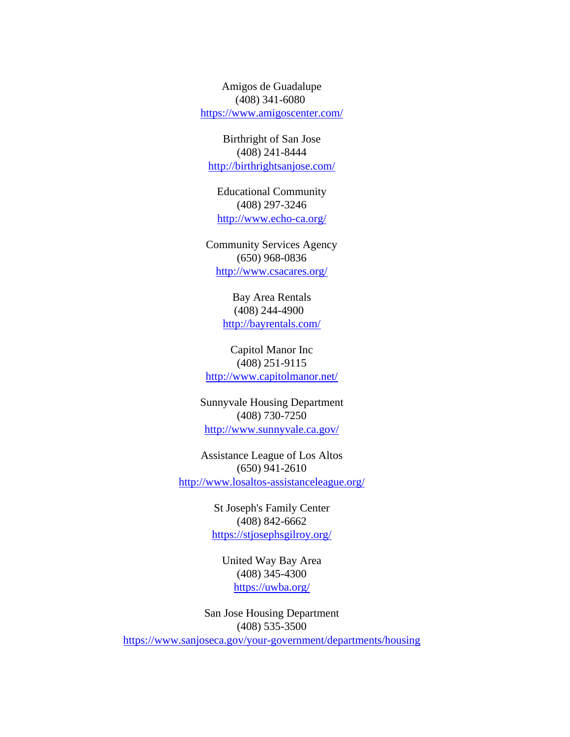Amigos de Guadalupe (408) 341-6080 <https://www.amigoscenter.com/>

Birthright of San Jose (408) 241-8444 <http://birthrightsanjose.com/>

Educational Community (408) 297-3246 <http://www.echo-ca.org/>

Community Services Agency (650) 968-0836 <http://www.csacares.org/>

> Bay Area Rentals (408) 244-4900 <http://bayrentals.com/>

Capitol Manor Inc (408) 251-9115 <http://www.capitolmanor.net/>

Sunnyvale Housing Department (408) 730-7250 <http://www.sunnyvale.ca.gov/>

Assistance League of Los Altos (650) 941-2610 <http://www.losaltos-assistanceleague.org/>

> St Joseph's Family Center (408) 842-6662 <https://stjosephsgilroy.org/>

United Way Bay Area (408) 345-4300 <https://uwba.org/>

San Jose Housing Department (408) 535-3500 <https://www.sanjoseca.gov/your-government/departments/housing>